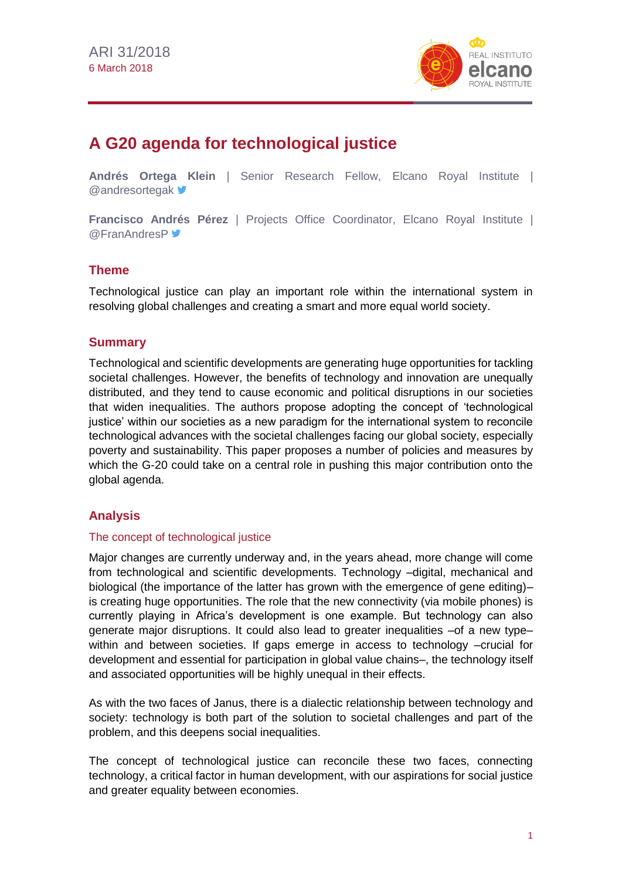

# **A G20 agenda for technological justice**

**Andrés Ortega Klein** | Senior Research Fellow, Elcano Royal Institute | **@andresortegak** <del>■</del>

**Francisco Andrés Pérez** | Projects Office Coordinator, Elcano Royal Institute | **@FranAndresP** 

# **Theme**

Technological justice can play an important role within the international system in resolving global challenges and creating a smart and more equal world society.

# **Summary**

Technological and scientific developments are generating huge opportunities for tackling societal challenges. However, the benefits of technology and innovation are unequally distributed, and they tend to cause economic and political disruptions in our societies that widen inequalities. The authors propose adopting the concept of 'technological justice' within our societies as a new paradigm for the international system to reconcile technological advances with the societal challenges facing our global society, especially poverty and sustainability. This paper proposes a number of policies and measures by which the G-20 could take on a central role in pushing this major contribution onto the global agenda.

# **Analysis**

#### The concept of technological justice

Major changes are currently underway and, in the years ahead, more change will come from technological and scientific developments. Technology –digital, mechanical and biological (the importance of the latter has grown with the emergence of gene editing)– is creating huge opportunities. The role that the new connectivity (via mobile phones) is currently playing in Africa's development is one example. But technology can also generate major disruptions. It could also lead to greater inequalities –of a new type– within and between societies. If gaps emerge in access to technology –crucial for development and essential for participation in global value chains–, the technology itself and associated opportunities will be highly unequal in their effects.

As with the two faces of Janus, there is a dialectic relationship between technology and society: technology is both part of the solution to societal challenges and part of the problem, and this deepens social inequalities.

The concept of technological justice can reconcile these two faces, connecting technology, a critical factor in human development, with our aspirations for social justice and greater equality between economies.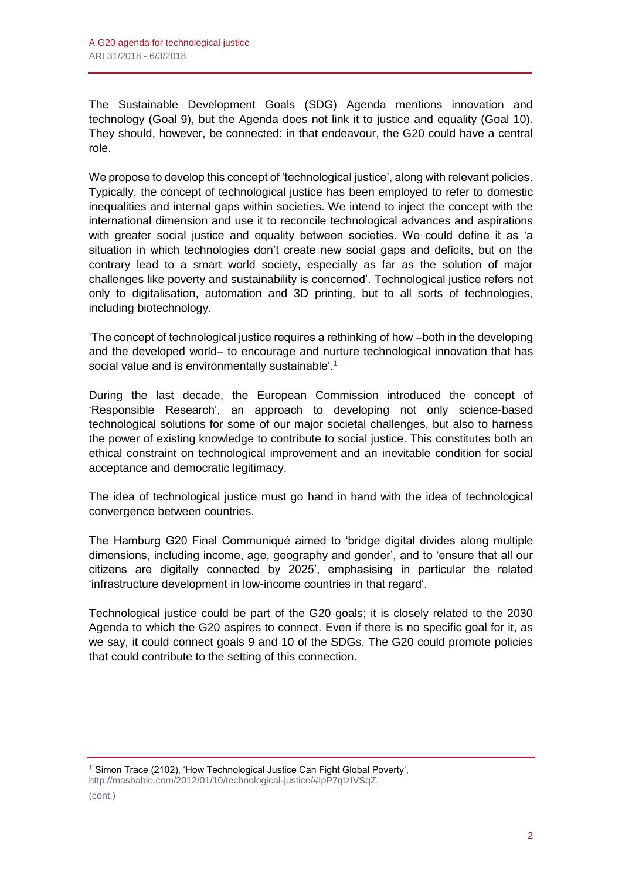The Sustainable Development Goals (SDG) Agenda mentions innovation and technology (Goal 9), but the Agenda does not link it to justice and equality (Goal 10). They should, however, be connected: in that endeavour, the G20 could have a central role.

We propose to develop this concept of 'technological justice', along with relevant policies. Typically, the concept of technological justice has been employed to refer to domestic inequalities and internal gaps within societies. We intend to inject the concept with the international dimension and use it to reconcile technological advances and aspirations with greater social justice and equality between societies. We could define it as 'a situation in which technologies don't create new social gaps and deficits, but on the contrary lead to a smart world society, especially as far as the solution of major challenges like poverty and sustainability is concerned'. Technological justice refers not only to digitalisation, automation and 3D printing, but to all sorts of technologies, including biotechnology.

'The concept of technological justice requires a rethinking of how –both in the developing and the developed world– to encourage and nurture technological innovation that has social value and is environmentally sustainable'.<sup>1</sup>

During the last decade, the European Commission introduced the concept of 'Responsible Research', an approach to developing not only science-based technological solutions for some of our major societal challenges, but also to harness the power of existing knowledge to contribute to social justice. This constitutes both an ethical constraint on technological improvement and an inevitable condition for social acceptance and democratic legitimacy.

The idea of technological justice must go hand in hand with the idea of technological convergence between countries.

The Hamburg G20 Final Communiqué aimed to 'bridge digital divides along multiple dimensions, including income, age, geography and gender', and to 'ensure that all our citizens are digitally connected by 2025', emphasising in particular the related 'infrastructure development in low-income countries in that regard'.

Technological justice could be part of the G20 goals; it is closely related to the 2030 Agenda to which the G20 aspires to connect. Even if there is no specific goal for it, as we say, it could connect goals 9 and 10 of the SDGs. The G20 could promote policies that could contribute to the setting of this connection.

<sup>&</sup>lt;sup>1</sup> Simon Trace (2102), 'How Technological Justice Can Fight Global Poverty', [http://mashable.com/2012/01/10/technological-justice/#IpP7qtzIVSqZ.](http://mashable.com/2012/01/10/technological-justice/#IpP7qtzIVSqZ)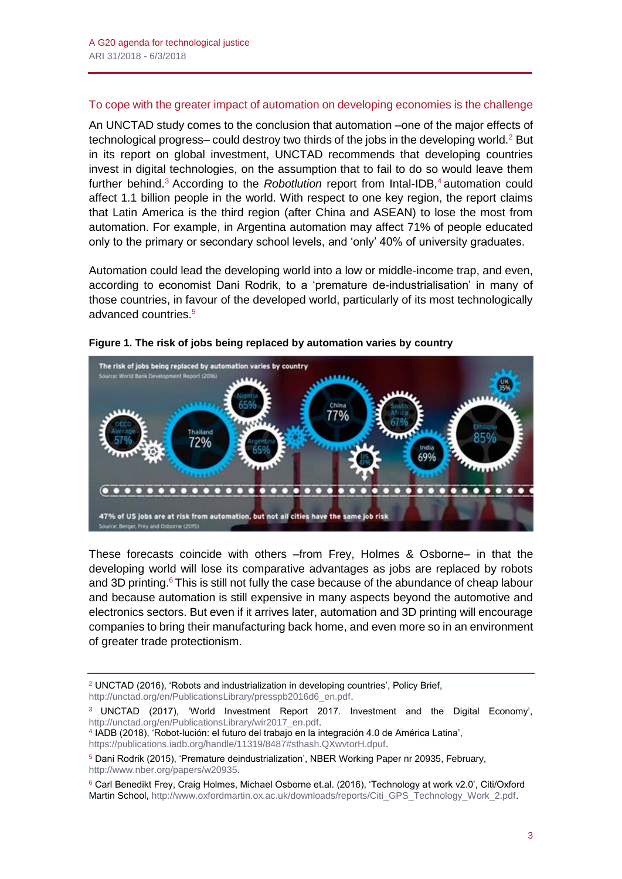#### To cope with the greater impact of automation on developing economies is the challenge

An UNCTAD study comes to the conclusion that automation –one of the major effects of technological progress– could destroy two thirds of the jobs in the developing world. $2$  But in its report on global investment, UNCTAD recommends that developing countries invest in digital technologies, on the assumption that to fail to do so would leave them further behind.<sup>3</sup> According to the *Robotlution* report from Intal-IDB,<sup>4</sup> automation could affect 1.1 billion people in the world. With respect to one key region, the report claims that Latin America is the third region (after China and ASEAN) to lose the most from automation. For example, in Argentina automation may affect 71% of people educated only to the primary or secondary school levels, and 'only' 40% of university graduates.

Automation could lead the developing world into a low or middle-income trap, and even, according to economist Dani Rodrik, to a 'premature de-industrialisation' in many of those countries, in favour of the developed world, particularly of its most technologically advanced countries.<sup>5</sup>



#### **Figure 1. The risk of jobs being replaced by automation varies by country**

These forecasts coincide with others –from Frey, Holmes & Osborne– in that the developing world will lose its comparative advantages as jobs are replaced by robots and 3D printing.<sup>6</sup> This is still not fully the case because of the abundance of cheap labour and because automation is still expensive in many aspects beyond the automotive and electronics sectors. But even if it arrives later, automation and 3D printing will encourage companies to bring their manufacturing back home, and even more so in an environment of greater trade protectionism.

<sup>2</sup> UNCTAD (2016), 'Robots and industrialization in developing countries', Policy Brief, [http://unctad.org/en/PublicationsLibrary/presspb2016d6\\_en.pdf.](http://unctad.org/en/PublicationsLibrary/presspb2016d6_en.pdf)

<sup>3</sup> UNCTAD (2017), 'World Investment Report 2017. Investment and the Digital Economy', [http://unctad.org/en/PublicationsLibrary/wir2017\\_en.pdf.](http://unctad.org/en/PublicationsLibrary/wir2017_en.pdf) 4 IADB (2018), 'Robot-lución: el futuro del trabajo en la integración 4.0 de América Latina',

[https://publications.iadb.org/handle/11319/8487#sthash.QXwvtorH.dpuf.](https://publications.iadb.org/handle/11319/8487#sthash.QXwvtorH.dpuf)

<sup>5</sup> Dani Rodrik (2015), 'Premature deindustrialization', NBER Working Paper nr 20935, February, [http://www.nber.org/papers/w20935.](http://www.nber.org/papers/w20935)

<sup>6</sup> Carl Benedikt Frey, Craig Holmes, Michael Osborne et.al. (2016), 'Technology at work v2.0', Citi/Oxford Martin School, [http://www.oxfordmartin.ox.ac.uk/downloads/reports/Citi\\_GPS\\_Technology\\_Work\\_2.pdf.](http://www.oxfordmartin.ox.ac.uk/downloads/reports/Citi_GPS_Technology_Work_2.pdf)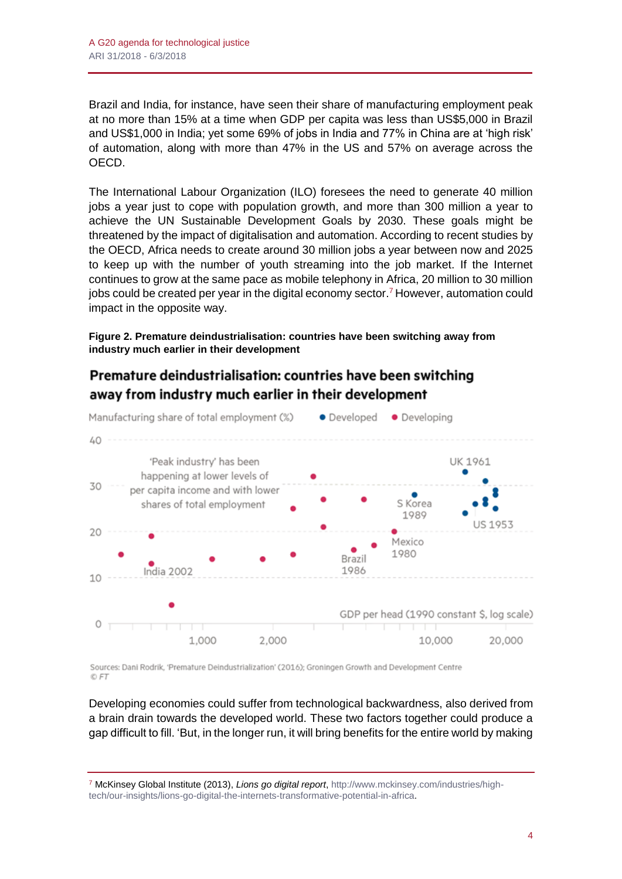Brazil and India, for instance, have seen their share of manufacturing employment peak at no more than 15% at a time when GDP per capita was less than US\$5,000 in Brazil and US\$1,000 in India; yet some 69% of jobs in India and 77% in China are at 'high risk' of automation, along with more than 47% in the US and 57% on average across the OECD.

The International Labour Organization (ILO) foresees the need to generate 40 million jobs a year just to cope with population growth, and more than 300 million a year to achieve the UN Sustainable Development Goals by 2030. These goals might be threatened by the impact of digitalisation and automation. According to recent studies by the OECD, Africa needs to create around 30 million jobs a year between now and 2025 to keep up with the number of youth streaming into the job market. If the Internet continues to grow at the same pace as mobile telephony in Africa, 20 million to 30 million jobs could be created per year in the digital economy sector.<sup>7</sup> However, automation could impact in the opposite way.

**Figure 2. Premature deindustrialisation: countries have been switching away from industry much earlier in their development**

# Premature deindustrialisation: countries have been switching away from industry much earlier in their development



Sources: Dani Rodrik, 'Premature Deindustrialization' (2016); Groningen Growth and Development Centre © FT

Developing economies could suffer from technological backwardness, also derived from a brain drain towards the developed world. These two factors together could produce a gap difficult to fill. 'But, in the longer run, it will bring benefits for the entire world by making

<sup>7</sup> McKinsey Global Institute (2013), *Lions go digital report*, [http://www.mckinsey.com/industries/high](http://www.mckinsey.com/industries/high-tech/our-insights/lions-go-digital-the-internets-transformative-potential-in-africa)[tech/our-insights/lions-go-digital-the-internets-transformative-potential-in-africa.](http://www.mckinsey.com/industries/high-tech/our-insights/lions-go-digital-the-internets-transformative-potential-in-africa)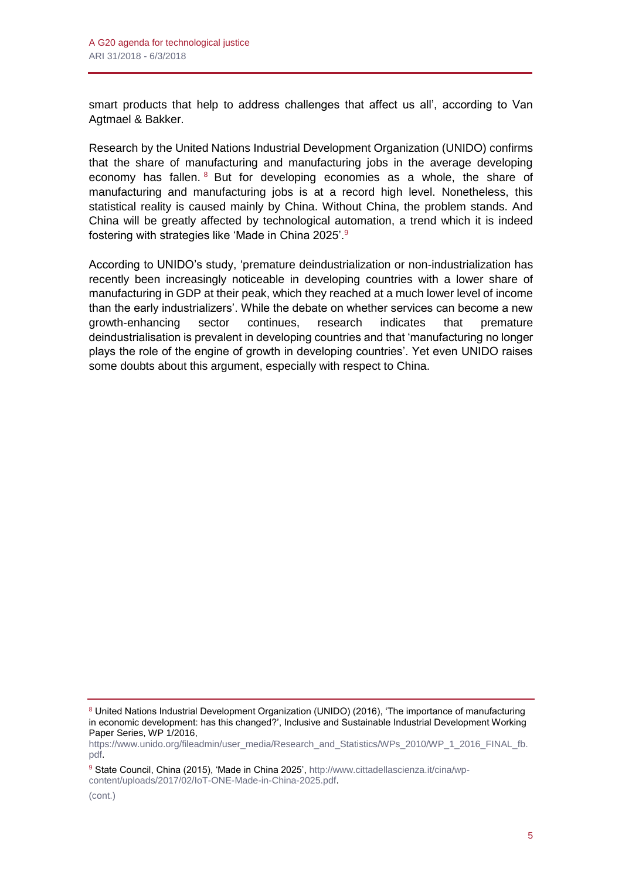smart products that help to address challenges that affect us all', according to Van Agtmael & Bakker.

Research by the United Nations Industrial Development Organization (UNIDO) confirms that the share of manufacturing and manufacturing jobs in the average developing economy has fallen. <sup>8</sup> But for developing economies as a whole, the share of manufacturing and manufacturing jobs is at a record high level. Nonetheless, this statistical reality is caused mainly by China. Without China, the problem stands. And China will be greatly affected by technological automation, a trend which it is indeed fostering with strategies like 'Made in China 2025'.<sup>9</sup>

According to UNIDO's study, 'premature deindustrialization or non-industrialization has recently been increasingly noticeable in developing countries with a lower share of manufacturing in GDP at their peak, which they reached at a much lower level of income than the early industrializers'. While the debate on whether services can become a new growth-enhancing sector continues, research indicates that premature deindustrialisation is prevalent in developing countries and that 'manufacturing no longer plays the role of the engine of growth in developing countries'. Yet even UNIDO raises some doubts about this argument, especially with respect to China.

<sup>8</sup> United Nations Industrial Development Organization (UNIDO) (2016), 'The importance of manufacturing in economic development: has this changed?', Inclusive and Sustainable Industrial Development Working Paper Series, WP 1/2016,

[https://www.unido.org/fileadmin/user\\_media/Research\\_and\\_Statistics/WPs\\_2010/WP\\_1\\_2016\\_FINAL\\_fb.](https://www.unido.org/fileadmin/user_media/Research_and_Statistics/WPs_2010/WP_1_2016_FINAL_fb.pdf) [pdf.](https://www.unido.org/fileadmin/user_media/Research_and_Statistics/WPs_2010/WP_1_2016_FINAL_fb.pdf)

<sup>9</sup> State Council, China (2015), 'Made in China 2025', [http://www.cittadellascienza.it/cina/wp](http://www.cittadellascienza.it/cina/wp-content/uploads/2017/02/IoT-ONE-Made-in-China-2025.pdf)[content/uploads/2017/02/IoT-ONE-Made-in-China-2025.pdf.](http://www.cittadellascienza.it/cina/wp-content/uploads/2017/02/IoT-ONE-Made-in-China-2025.pdf)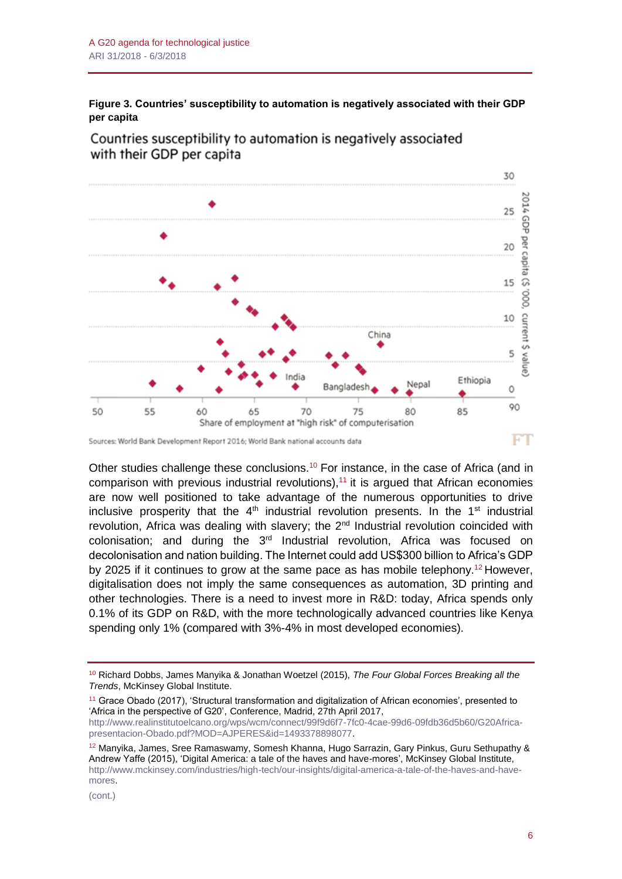**Figure 3. Countries' susceptibility to automation is negatively associated with their GDP per capita**



Countries susceptibility to automation is negatively associated with their GDP per capita

Other studies challenge these conclusions.<sup>10</sup> For instance, in the case of Africa (and in comparison with previous industrial revolutions),<sup>11</sup> it is argued that African economies are now well positioned to take advantage of the numerous opportunities to drive inclusive prosperity that the  $4<sup>th</sup>$  industrial revolution presents. In the  $1<sup>st</sup>$  industrial revolution. Africa was dealing with slavery; the  $2<sup>nd</sup>$  Industrial revolution coincided with colonisation; and during the  $3<sup>rd</sup>$  Industrial revolution, Africa was focused on decolonisation and nation building. The Internet could add US\$300 billion to Africa's GDP by 2025 if it continues to grow at the same pace as has mobile telephony.<sup>12</sup> However, digitalisation does not imply the same consequences as automation, 3D printing and other technologies. There is a need to invest more in R&D: today, Africa spends only 0.1% of its GDP on R&D, with the more technologically advanced countries like Kenya spending only 1% (compared with 3%-4% in most developed economies).

<sup>11</sup> Grace Obado (2017), 'Structural transformation and digitalization of African economies', presented to 'Africa in the perspective of G20', Conference, Madrid, 27th April 2017,

[http://www.realinstitutoelcano.org/wps/wcm/connect/99f9d6f7-7fc0-4cae-99d6-09fdb36d5b60/G20Africa](http://www.realinstitutoelcano.org/wps/wcm/connect/99f9d6f7-7fc0-4cae-99d6-09fdb36d5b60/G20Africa-presentacion-Obado.pdf?MOD=AJPERES&id=1493378898077)[presentacion-Obado.pdf?MOD=AJPERES&id=1493378898077.](http://www.realinstitutoelcano.org/wps/wcm/connect/99f9d6f7-7fc0-4cae-99d6-09fdb36d5b60/G20Africa-presentacion-Obado.pdf?MOD=AJPERES&id=1493378898077)

Sources: World Bank Development Report 2016; World Bank national accounts data

<sup>10</sup> Richard Dobbs, James Manyika & Jonathan Woetzel (2015), *The Four Global Forces Breaking all the Trends*, McKinsey Global Institute.

 $12$  Manyika, James, Sree Ramaswamy, Somesh Khanna, Hugo Sarrazin, Gary Pinkus, Guru Sethupathy & Andrew Yaffe (2015), 'Digital America: a tale of the haves and have-mores', McKinsey Global Institute, [http://www.mckinsey.com/industries/high-tech/our-insights/digital-america-a-tale-of-the-haves-and-have](http://www.mckinsey.com/industries/high-tech/our-insights/digital-america-a-tale-of-the-haves-and-have-mores)[mores.](http://www.mckinsey.com/industries/high-tech/our-insights/digital-america-a-tale-of-the-haves-and-have-mores)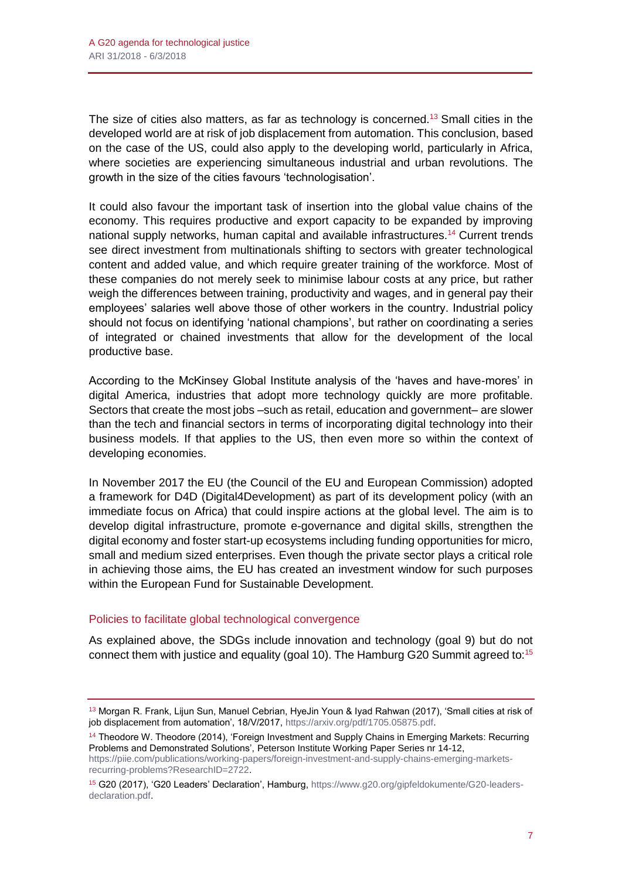The size of cities also matters, as far as technology is concerned.<sup>13</sup> Small cities in the developed world are at risk of job displacement from automation. This conclusion, based on the case of the US, could also apply to the developing world, particularly in Africa, where societies are experiencing simultaneous industrial and urban revolutions. The growth in the size of the cities favours 'technologisation'.

It could also favour the important task of insertion into the global value chains of the economy. This requires productive and export capacity to be expanded by improving national supply networks, human capital and available infrastructures.<sup>14</sup> Current trends see direct investment from multinationals shifting to sectors with greater technological content and added value, and which require greater training of the workforce. Most of these companies do not merely seek to minimise labour costs at any price, but rather weigh the differences between training, productivity and wages, and in general pay their employees' salaries well above those of other workers in the country. Industrial policy should not focus on identifying 'national champions', but rather on coordinating a series of integrated or chained investments that allow for the development of the local productive base.

According to the McKinsey Global Institute analysis of the 'haves and have-mores' in digital America, industries that adopt more technology quickly are more profitable. Sectors that create the most jobs –such as retail, education and government– are slower than the tech and financial sectors in terms of incorporating digital technology into their business models. If that applies to the US, then even more so within the context of developing economies.

In November 2017 the EU (the Council of the EU and European Commission) adopted a framework for D4D (Digital4Development) as part of its development policy (with an immediate focus on Africa) that could inspire actions at the global level. The aim is to develop digital infrastructure, promote e-governance and digital skills, strengthen the digital economy and foster start-up ecosystems including funding opportunities for micro, small and medium sized enterprises. Even though the private sector plays a critical role in achieving those aims, the EU has created an investment window for such purposes within the European Fund for Sustainable Development.

#### Policies to facilitate global technological convergence

As explained above, the SDGs include innovation and technology (goal 9) but do not connect them with justice and equality (goal 10). The Hamburg G20 Summit agreed to:<sup>15</sup>

[https://piie.com/publications/working-papers/foreign-investment-and-supply-chains-emerging-markets](https://piie.com/publications/working-papers/foreign-investment-and-supply-chains-emerging-markets-recurring-problems?ResearchID=2722)[recurring-problems?ResearchID=2722.](https://piie.com/publications/working-papers/foreign-investment-and-supply-chains-emerging-markets-recurring-problems?ResearchID=2722)

<sup>&</sup>lt;sup>13</sup> Morgan R. Frank, Lijun Sun, Manuel Cebrian, HyeJin Youn & Iyad Rahwan (2017), 'Small cities at risk of job displacement from automation', 18/V/2017, [https://arxiv.org/pdf/1705.05875.pdf.](https://arxiv.org/pdf/1705.05875.pdf)

<sup>&</sup>lt;sup>14</sup> Theodore W. Theodore (2014), 'Foreign Investment and Supply Chains in Emerging Markets: Recurring Problems and Demonstrated Solutions', Peterson Institute Working Paper Series nr 14-12,

<sup>15</sup> G20 (2017), 'G20 Leaders' Declaration', Hamburg, [https://www.g20.org/gipfeldokumente/G20-leaders](https://www.g20.org/gipfeldokumente/G20-leaders-declaration.pdf)[declaration.pdf.](https://www.g20.org/gipfeldokumente/G20-leaders-declaration.pdf)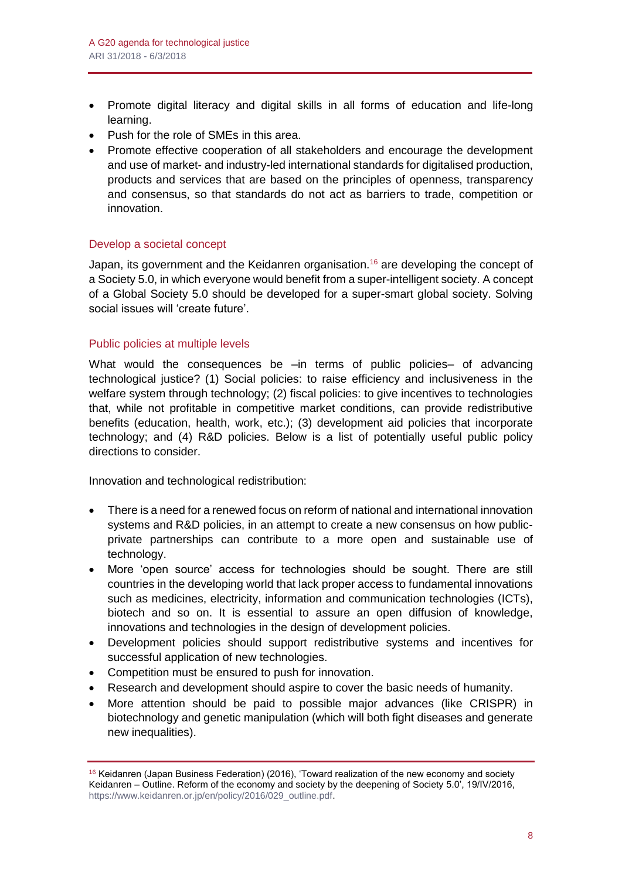- Promote digital literacy and digital skills in all forms of education and life-long learning.
- Push for the role of SMEs in this area.
- Promote effective cooperation of all stakeholders and encourage the development and use of market- and industry-led international standards for digitalised production, products and services that are based on the principles of openness, transparency and consensus, so that standards do not act as barriers to trade, competition or innovation.

#### Develop a societal concept

Japan, its government and the Keidanren organisation.<sup>16</sup> are developing the concept of a Society 5.0, in which everyone would benefit from a super-intelligent society. A concept of a Global Society 5.0 should be developed for a super-smart global society. Solving social issues will 'create future'.

### Public policies at multiple levels

What would the consequences be –in terms of public policies– of advancing technological justice? (1) Social policies: to raise efficiency and inclusiveness in the welfare system through technology; (2) fiscal policies: to give incentives to technologies that, while not profitable in competitive market conditions, can provide redistributive benefits (education, health, work, etc.); (3) development aid policies that incorporate technology; and (4) R&D policies. Below is a list of potentially useful public policy directions to consider.

Innovation and technological redistribution:

- There is a need for a renewed focus on reform of national and international innovation systems and R&D policies, in an attempt to create a new consensus on how publicprivate partnerships can contribute to a more open and sustainable use of technology.
- More 'open source' access for technologies should be sought. There are still countries in the developing world that lack proper access to fundamental innovations such as medicines, electricity, information and communication technologies (ICTs), biotech and so on. It is essential to assure an open diffusion of knowledge, innovations and technologies in the design of development policies.
- Development policies should support redistributive systems and incentives for successful application of new technologies.
- Competition must be ensured to push for innovation.
- Research and development should aspire to cover the basic needs of humanity.
- More attention should be paid to possible major advances (like CRISPR) in biotechnology and genetic manipulation (which will both fight diseases and generate new inequalities).

 $16$  Keidanren (Japan Business Federation) (2016), 'Toward realization of the new economy and society Keidanren – Outline. Reform of the economy and society by the deepening of Society 5.0', 19/IV/2016, [https://www.keidanren.or.jp/en/policy/2016/029\\_outline.pdf.](https://www.keidanren.or.jp/en/policy/2016/029_outline.pdf)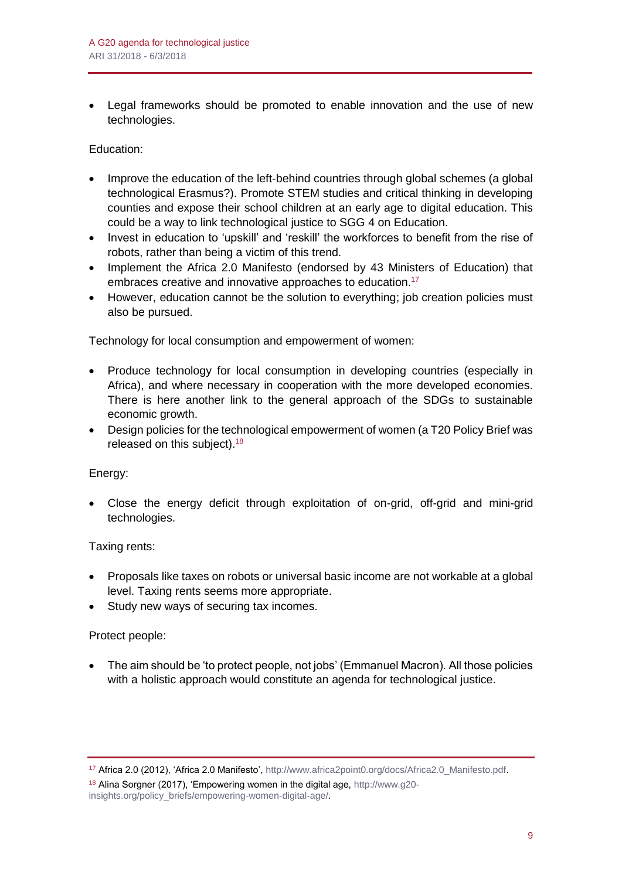• Legal frameworks should be promoted to enable innovation and the use of new technologies.

Education:

- Improve the education of the left-behind countries through global schemes (a global technological Erasmus?). Promote STEM studies and critical thinking in developing counties and expose their school children at an early age to digital education. This could be a way to link technological justice to SGG 4 on Education.
- Invest in education to 'upskill' and 'reskill' the workforces to benefit from the rise of robots, rather than being a victim of this trend.
- Implement the Africa 2.0 Manifesto (endorsed by 43 Ministers of Education) that embraces creative and innovative approaches to education.<sup>17</sup>
- However, education cannot be the solution to everything; job creation policies must also be pursued.

Technology for local consumption and empowerment of women:

- Produce technology for local consumption in developing countries (especially in Africa), and where necessary in cooperation with the more developed economies. There is here another link to the general approach of the SDGs to sustainable economic growth.
- Design policies for the technological empowerment of women (a T20 Policy Brief was released on this subject).<sup>18</sup>

Energy:

• Close the energy deficit through exploitation of on-grid, off-grid and mini-grid technologies.

Taxing rents:

- Proposals like taxes on robots or universal basic income are not workable at a global level. Taxing rents seems more appropriate.
- Study new ways of securing tax incomes.

Protect people:

• The aim should be 'to protect people, not jobs' (Emmanuel Macron). All those policies with a holistic approach would constitute an agenda for technological justice.

<sup>17</sup> Africa 2.0 (2012), 'Africa 2.0 Manifesto', [http://www.africa2point0.org/docs/Africa2.0\\_Manifesto.pdf.](http://www.africa2point0.org/docs/Africa2.0_Manifesto.pdf)

<sup>&</sup>lt;sup>18</sup> Alina Sorgner (2017), 'Empowering women in the digital age, [http://www.g20](http://www.g20-insights.org/policy_briefs/empowering-women-digital-age/) [insights.org/policy\\_briefs/empowering-women-digital-age/.](http://www.g20-insights.org/policy_briefs/empowering-women-digital-age/)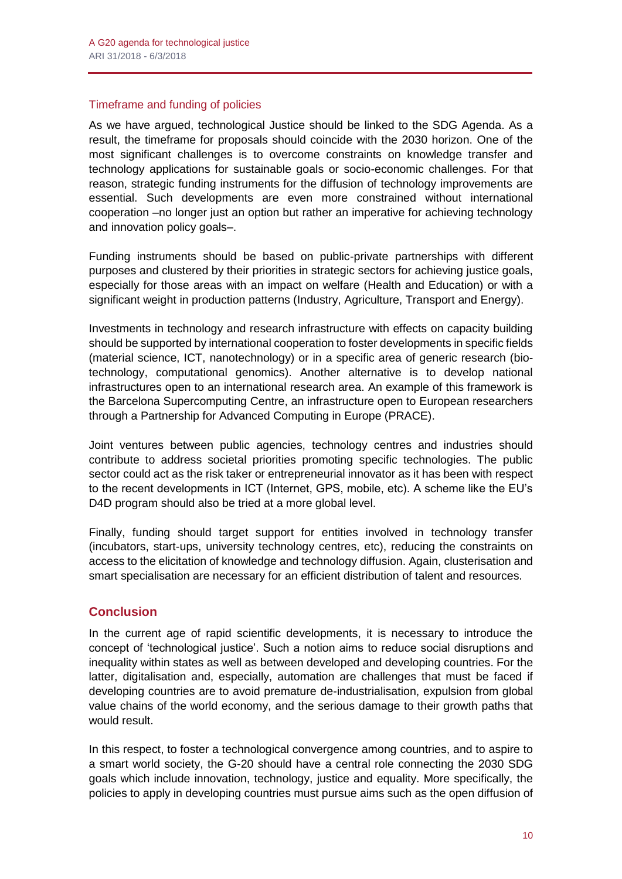#### Timeframe and funding of policies

As we have argued, technological Justice should be linked to the SDG Agenda. As a result, the timeframe for proposals should coincide with the 2030 horizon. One of the most significant challenges is to overcome constraints on knowledge transfer and technology applications for sustainable goals or socio-economic challenges. For that reason, strategic funding instruments for the diffusion of technology improvements are essential. Such developments are even more constrained without international cooperation –no longer just an option but rather an imperative for achieving technology and innovation policy goals–.

Funding instruments should be based on public-private partnerships with different purposes and clustered by their priorities in strategic sectors for achieving justice goals, especially for those areas with an impact on welfare (Health and Education) or with a significant weight in production patterns (Industry, Agriculture, Transport and Energy).

Investments in technology and research infrastructure with effects on capacity building should be supported by international cooperation to foster developments in specific fields (material science, ICT, nanotechnology) or in a specific area of generic research (biotechnology, computational genomics). Another alternative is to develop national infrastructures open to an international research area. An example of this framework is the Barcelona Supercomputing Centre, an infrastructure open to European researchers through a Partnership for Advanced Computing in Europe (PRACE).

Joint ventures between public agencies, technology centres and industries should contribute to address societal priorities promoting specific technologies. The public sector could act as the risk taker or entrepreneurial innovator as it has been with respect to the recent developments in ICT (Internet, GPS, mobile, etc). A scheme like the EU's D4D program should also be tried at a more global level.

Finally, funding should target support for entities involved in technology transfer (incubators, start-ups, university technology centres, etc), reducing the constraints on access to the elicitation of knowledge and technology diffusion. Again, clusterisation and smart specialisation are necessary for an efficient distribution of talent and resources.

# **Conclusion**

In the current age of rapid scientific developments, it is necessary to introduce the concept of 'technological justice'. Such a notion aims to reduce social disruptions and inequality within states as well as between developed and developing countries. For the latter, digitalisation and, especially, automation are challenges that must be faced if developing countries are to avoid premature de-industrialisation, expulsion from global value chains of the world economy, and the serious damage to their growth paths that would result.

In this respect, to foster a technological convergence among countries, and to aspire to a smart world society, the G-20 should have a central role connecting the 2030 SDG goals which include innovation, technology, justice and equality. More specifically, the policies to apply in developing countries must pursue aims such as the open diffusion of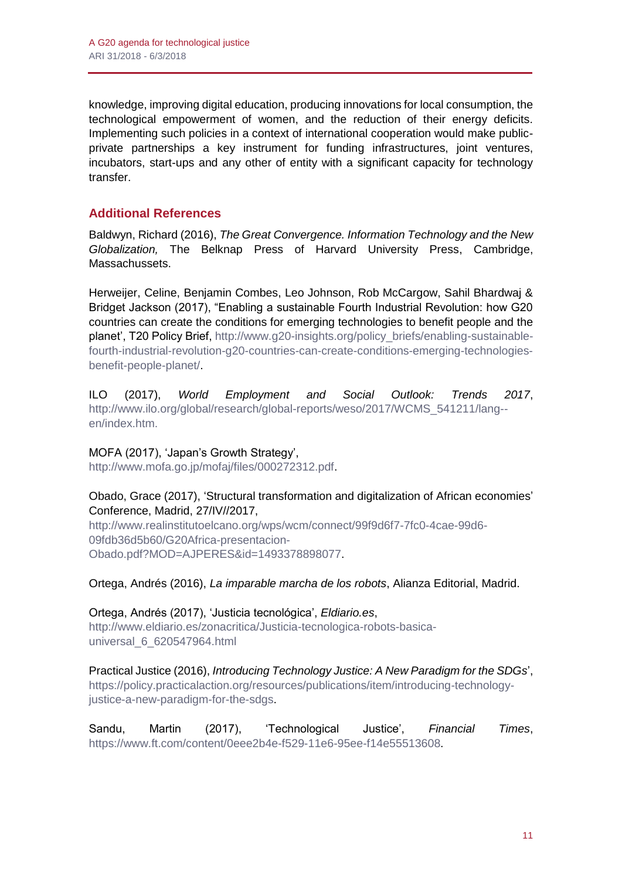knowledge, improving digital education, producing innovations for local consumption, the technological empowerment of women, and the reduction of their energy deficits. Implementing such policies in a context of international cooperation would make publicprivate partnerships a key instrument for funding infrastructures, joint ventures, incubators, start-ups and any other of entity with a significant capacity for technology transfer.

# **Additional References**

Baldwyn, Richard (2016), *The Great Convergence. Information Technology and the New Globalization,* The Belknap Press of Harvard University Press, Cambridge, Massachussets.

Herweijer, Celine, Benjamin Combes, Leo Johnson, Rob McCargow, Sahil Bhardwaj & Bridget Jackson (2017), "Enabling a sustainable Fourth Industrial Revolution: how G20 countries can create the conditions for emerging technologies to benefit people and the planet', T20 Policy Brief, [http://www.g20-insights.org/policy\\_briefs/enabling-sustainable](http://www.g20-insights.org/policy_briefs/enabling-sustainable-fourth-industrial-revolution-g20-countries-can-create-conditions-emerging-technologies-benefit-people-planet/)[fourth-industrial-revolution-g20-countries-can-create-conditions-emerging-technologies](http://www.g20-insights.org/policy_briefs/enabling-sustainable-fourth-industrial-revolution-g20-countries-can-create-conditions-emerging-technologies-benefit-people-planet/)[benefit-people-planet/.](http://www.g20-insights.org/policy_briefs/enabling-sustainable-fourth-industrial-revolution-g20-countries-can-create-conditions-emerging-technologies-benefit-people-planet/)

ILO (2017), *World Employment and Social Outlook: Trends 2017*, [http://www.ilo.org/global/research/global-reports/weso/2017/WCMS\\_541211/lang-](http://www.ilo.org/global/research/global-reports/weso/2017/WCMS_541211/lang--en/index.htm) [en/index.htm.](http://www.ilo.org/global/research/global-reports/weso/2017/WCMS_541211/lang--en/index.htm)

# MOFA (2017), 'Japan's Growth Strategy',

[http://www.mofa.go.jp/mofaj/files/000272312.pdf.](http://www.mofa.go.jp/mofaj/files/000272312.pdf)

#### Obado, Grace (2017), 'Structural transformation and digitalization of African economies' Conference, Madrid, 27/IV//2017,

[http://www.realinstitutoelcano.org/wps/wcm/connect/99f9d6f7-7fc0-4cae-99d6-](http://www.realinstitutoelcano.org/wps/wcm/connect/99f9d6f7-7fc0-4cae-99d6-09fdb36d5b60/G20Africa-presentacion-Obado.pdf?MOD=AJPERES&id=1493378898077) [09fdb36d5b60/G20Africa-presentacion-](http://www.realinstitutoelcano.org/wps/wcm/connect/99f9d6f7-7fc0-4cae-99d6-09fdb36d5b60/G20Africa-presentacion-Obado.pdf?MOD=AJPERES&id=1493378898077)[Obado.pdf?MOD=AJPERES&id=1493378898077.](http://www.realinstitutoelcano.org/wps/wcm/connect/99f9d6f7-7fc0-4cae-99d6-09fdb36d5b60/G20Africa-presentacion-Obado.pdf?MOD=AJPERES&id=1493378898077)

#### Ortega, Andrés (2016), *La imparable marcha de los robots*, Alianza Editorial, Madrid.

Ortega, Andrés (2017), 'Justicia tecnológica', *Eldiario.es*, [http://www.eldiario.es/zonacritica/Justicia-tecnologica-robots-basica](http://www.eldiario.es/zonacritica/Justicia-tecnologica-robots-basica-universal_6_620547964.html)[universal\\_6\\_620547964.html](http://www.eldiario.es/zonacritica/Justicia-tecnologica-robots-basica-universal_6_620547964.html)

Practical Justice (2016), *Introducing Technology Justice: A New Paradigm for the SDGs*', [https://policy.practicalaction.org/resources/publications/item/introducing-technology](https://policy.practicalaction.org/resources/publications/item/introducing-technology-justice-a-new-paradigm-for-the-sdgs)[justice-a-new-paradigm-for-the-sdgs.](https://policy.practicalaction.org/resources/publications/item/introducing-technology-justice-a-new-paradigm-for-the-sdgs)

Sandu, Martin (2017), 'Technological Justice', *Financial Times*, [https://www.ft.com/content/0eee2b4e-f529-11e6-95ee-f14e55513608.](https://www.ft.com/content/0eee2b4e-f529-11e6-95ee-f14e55513608)